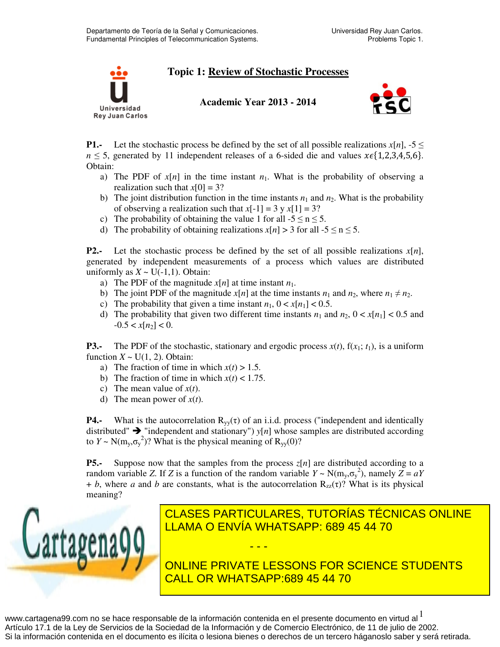

## **Topic 1: Review of Stochastic Processes**

**Academic Year 2013 - 2014** 



**P1.-** Let the stochastic process be defined by the set of all possible realizations  $x[n]$ , -5  $\leq$  $n \leq 5$ , generated by 11 independent releases of a 6-sided die and values  $x \in \{1,2,3,4,5,6\}$ . Obtain:

- a) The PDF of  $x[n]$  in the time instant  $n_1$ . What is the probability of observing a realization such that  $x[0] = 3$ ?
- b) The joint distribution function in the time instants  $n_1$  and  $n_2$ . What is the probability of observing a realization such that  $x[-1] = 3y x[1] = 3$ ?
- c) The probability of obtaining the value 1 for all  $-5 \le n \le 5$ .
- d) The probability of obtaining realizations  $x[n] > 3$  for all  $-5 \le n \le 5$ .

**P2.-** Let the stochastic process be defined by the set of all possible realizations  $x[n]$ , generated by independent measurements of a process which values are distributed uniformly as  $X \sim U(-1,1)$ . Obtain:

- a) The PDF of the magnitude  $x[n]$  at time instant  $n_1$ .
- b) The joint PDF of the magnitude  $x[n]$  at the time instants  $n_1$  and  $n_2$ , where  $n_1 \neq n_2$ .
- c) The probability that given a time instant  $n_1$ ,  $0 < x[n_1] < 0.5$ .
- d) The probability that given two different time instants  $n_1$  and  $n_2$ ,  $0 < x[n_1] < 0.5$  and  $-0.5 < x[n_2] < 0.$

**P3.-** The PDF of the stochastic, stationary and ergodic process  $x(t)$ ,  $f(x_1; t_1)$ , is a uniform function  $X \sim U(1, 2)$ . Obtain:

- a) The fraction of time in which  $x(t) > 1.5$ .
- b) The fraction of time in which  $x(t) < 1.75$ .
- c) The mean value of *x*(*t*).
- d) The mean power of *x*(*t*).

**P4.-** What is the autocorrelation  $R_{yy}(\tau)$  of an i.i.d. process ("independent and identically distributed"  $\rightarrow$  "independent and stationary") *y*[*n*] whose samples are distributed according to  $Y \sim N(m_y, \sigma_y^2)$ ? What is the physical meaning of  $R_{yy}(0)$ ?

**P5.-** Suppose now that the samples from the process  $z[n]$  are distributed according to a random variable *Z*. If *Z* is a function of the random variable  $Y \sim N(m_y, \sigma_y^2)$ , namely  $Z = aY$  $+ b$ , where *a* and *b* are constants, what is the autocorrelation  $R_{zz}(\tau)$ ? What is its physical meaning?

- - -



**P6.-** P6.-<sup>2</sup> CLASES PARTICULARES, TUTORÍAS TÉCNICAS ONLINE ). Define the process *z*[*n*] as follows: *z*[*n*] = *x*[*n* + 1] + *x*[*n*] + *x*[*n* - 1], i.e. a sample LLAMA O ENVÍA WHATSAPP: 689 45 44 70

> ONLINE PRIVATE LESSONS FOR SCIENCE STUDENTS CALL OR WHATSAPP:689 45 44 70

www.cartagena99.com no se hace responsable de la información contenida en el presente documento en virtud al  $^{\rm l}$ Artículo 17.1 de la Ley de Servicios de la Sociedad de la Información y de Comercio Electrónico, de 11 de julio de 2002. Si la información contenida en el documento es ilícita o lesiona bienes o derechos de un tercero háganoslo saber y será retirada.